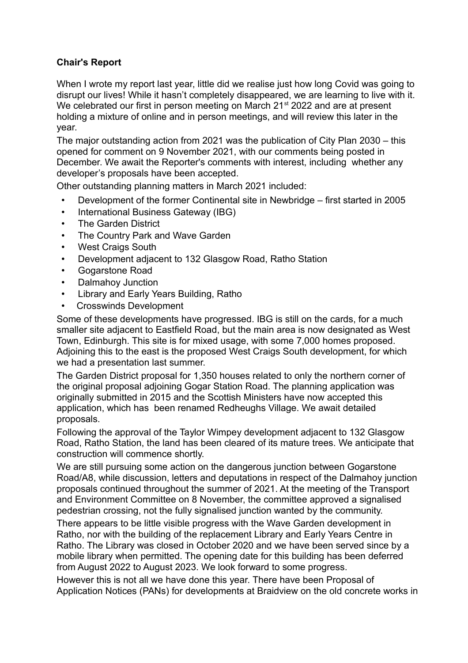## **Chair's Report**

When I wrote my report last year, little did we realise just how long Covid was going to disrupt our lives! While it hasn't completely disappeared, we are learning to live with it. We celebrated our first in person meeting on March 21<sup>st</sup> 2022 and are at present holding a mixture of online and in person meetings, and will review this later in the year.

The major outstanding action from 2021 was the publication of City Plan 2030 – this opened for comment on 9 November 2021, with our comments being posted in December. We await the Reporter's comments with interest, including whether any developer's proposals have been accepted.

Other outstanding planning matters in March 2021 included:

- Development of the former Continental site in Newbridge first started in 2005
- International Business Gateway (IBG)
- The Garden District
- The Country Park and Wave Garden
- West Craigs South
- Development adjacent to 132 Glasgow Road, Ratho Station
- Gogarstone Road
- Dalmahoy Junction
- Library and Early Years Building, Ratho
- Crosswinds Development

Some of these developments have progressed. IBG is still on the cards, for a much smaller site adjacent to Eastfield Road, but the main area is now designated as West Town, Edinburgh. This site is for mixed usage, with some 7,000 homes proposed. Adjoining this to the east is the proposed West Craigs South development, for which we had a presentation last summer.

The Garden District proposal for 1,350 houses related to only the northern corner of the original proposal adjoining Gogar Station Road. The planning application was originally submitted in 2015 and the Scottish Ministers have now accepted this application, which has been renamed Redheughs Village. We await detailed proposals.

Following the approval of the Taylor Wimpey development adjacent to 132 Glasgow Road, Ratho Station, the land has been cleared of its mature trees. We anticipate that construction will commence shortly.

We are still pursuing some action on the dangerous junction between Gogarstone Road/A8, while discussion, letters and deputations in respect of the Dalmahoy junction proposals continued throughout the summer of 2021. At the meeting of the Transport and Environment Committee on 8 November, the committee approved a signalised pedestrian crossing, not the fully signalised junction wanted by the community.

There appears to be little visible progress with the Wave Garden development in Ratho, nor with the building of the replacement Library and Early Years Centre in Ratho. The Library was closed in October 2020 and we have been served since by a mobile library when permitted. The opening date for this building has been deferred from August 2022 to August 2023. We look forward to some progress.

However this is not all we have done this year. There have been Proposal of Application Notices (PANs) for developments at Braidview on the old concrete works in